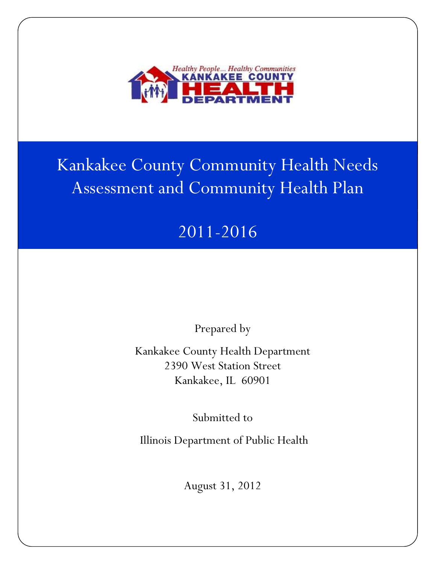

# Kankakee County Community Health Needs Assessment and Community Health Plan

# 2011-2016

Prepared by

Kankakee County Health Department 2390 West Station Street Kankakee, IL 60901

Submitted to

Illinois Department of Public Health

August 31, 2012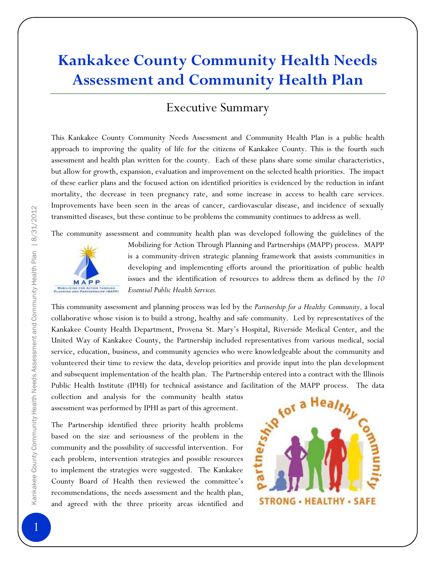# **Kankakee County Community Health Needs Assessment and Community Health Plan**

### Executive Summary

This Kankakee County Community Needs Assessment and Community Health Plan is a public health approach to improving the quality of life for the citizens of Kankakee County. This is the fourth such assessment and health plan written for the county. Each of these plans share some similar characteristics, but allow for growth, expansion, evaluation and improvement on the selected health priorities. The impact of these earlier plans and the focused action on identified priorities is evidenced by the reduction in infant mortality, the decrease in teen pregnancy rate, and some increase in access to health care services. Improvements have been seen in the areas of cancer, cardiovascular disease, and incidence of sexually transmitted diseases, but these continue to be problems the community continues to address as well.

The community assessment and community health plan was developed following the guidelines of the



Mobilizing for Action Through Planning and Partnerships (MAPP) process. MAPP is a community-driven strategic planning framework that assists communities in developing and implementing efforts around the prioritization of public health issues and the identification of resources to address them as defined by the *10 Essential Public Health Services.* 

This community assessment and planning process was led by the *Partnership for a Healthy Community,* a local collaborative whose vision is to build a strong, healthy and safe community. Led by representatives of the Kankakee County Health Department, Provena St. Mary's Hospital, Riverside Medical Center, and the United Way of Kankakee County, the Partnership included representatives from various medical, social service, education, business, and community agencies who were knowledgeable about the community and volunteered their time to review the data, develop priorities and provide input into the plan development and subsequent implementation of the health plan. The Partnership entered into a contract with the Illinois Public Health Institute (IPHI) for technical assistance and facilitation of the MAPP process. The data collection and analysis for the community health status

assessment was performed by IPHI as part of this agreement.

The Partnership identified three priority health problems based on the size and seriousness of the problem in the community and the possibility of successful intervention. For each problem, intervention strategies and possible resources to implement the strategies were suggested. The Kankakee County Board of Health then reviewed the committee's recommendations, the needs assessment and the health plan, and agreed with the three priority areas identified and

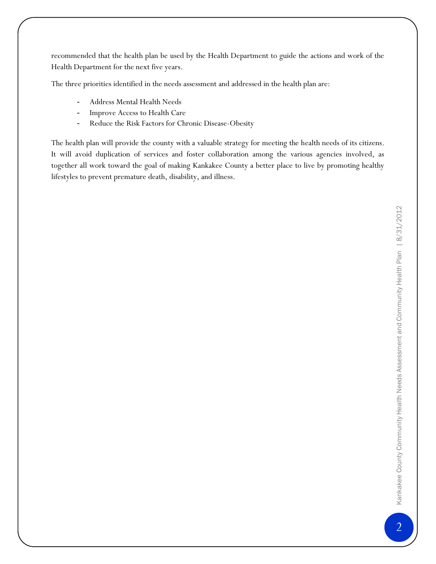recommended that the health plan be used by the Health Department to guide the actions and work of the Health Department for the next five years.

The three priorities identified in the needs assessment and addressed in the health plan are:

- Address Mental Health Needs
- Improve Access to Health Care
- Reduce the Risk Factors for Chronic Disease-Obesity

The health plan will provide the county with a valuable strategy for meeting the health needs of its citizens. It will avoid duplication of services and foster collaboration among the various agencies involved, as together all work toward the goal of making Kankakee County a better place to live by promoting healthy lifestyles to prevent premature death, disability, and illness.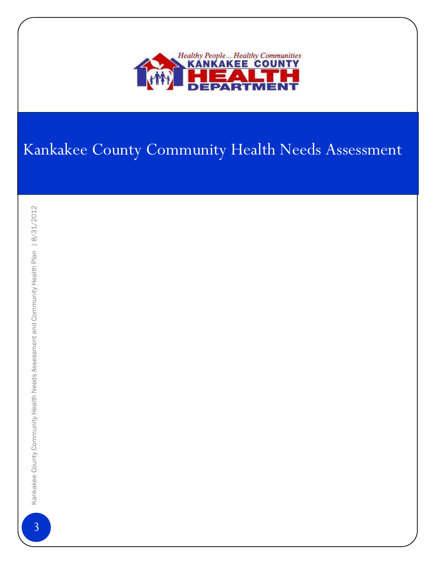

# Kankakee County Community Health Needs Assessment

 $\overline{3}$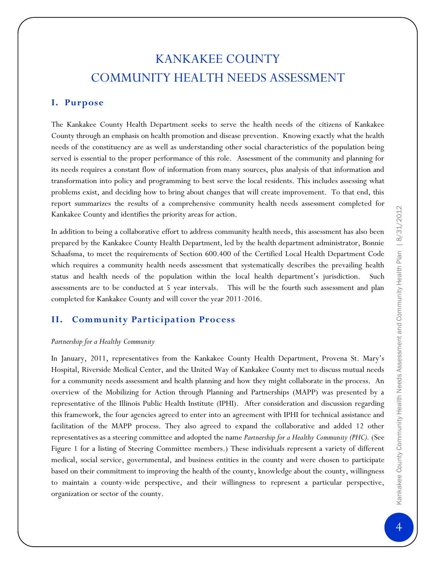### KANKAKEE COUNTY COMMUNITY HEALTH NEEDS ASSESSMENT

### **I. Purpose**

The Kankakee County Health Department seeks to serve the health needs of the citizens of Kankakee County through an emphasis on health promotion and disease prevention. Knowing exactly what the health needs of the constituency are as well as understanding other social characteristics of the population being served is essential to the proper performance of this role. Assessment of the community and planning for its needs requires a constant flow of information from many sources, plus analysis of that information and transformation into policy and programming to best serve the local residents. This includes assessing what problems exist, and deciding how to bring about changes that will create improvement. To that end, this report summarizes the results of a comprehensive community health needs assessment completed for Kankakee County and identifies the priority areas for action.

In addition to being a collaborative effort to address community health needs, this assessment has also been prepared by the Kankakee County Health Department, led by the health department administrator, Bonnie Schaafsma, to meet the requirements of Section 600.400 of the Certified Local Health Department Code which requires a community health needs assessment that systematically describes the prevailing health status and health needs of the population within the local health department's jurisdiction. Such assessments are to be conducted at 5 year intervals. This will be the fourth such assessment and plan completed for Kankakee County and will cover the year 2011-2016.

### **II. Community Participation Process**

### *Partnership for a Healthy Community*

In January, 2011, representatives from the Kankakee County Health Department, Provena St. Mary's Hospital, Riverside Medical Center, and the United Way of Kankakee County met to discuss mutual needs for a community needs assessment and health planning and how they might collaborate in the process. An overview of the Mobilizing for Action through Planning and Partnerships (MAPP) was presented by a representative of the Illinois Public Health Institute (IPHI). After consideration and discussion regarding this framework, the four agencies agreed to enter into an agreement with IPHI for technical assistance and facilitation of the MAPP process. They also agreed to expand the collaborative and added 12 other representatives as a steering committee and adopted the name *Partnership for a Healthy Community (PHC).* (See Figure 1 for a listing of Steering Committee members.) These individuals represent a variety of different medical, social service, governmental, and business entities in the county and were chosen to participate based on their commitment to improving the health of the county, knowledge about the county, willingness to maintain a county-wide perspective, and their willingness to represent a particular perspective, organization or sector of the county.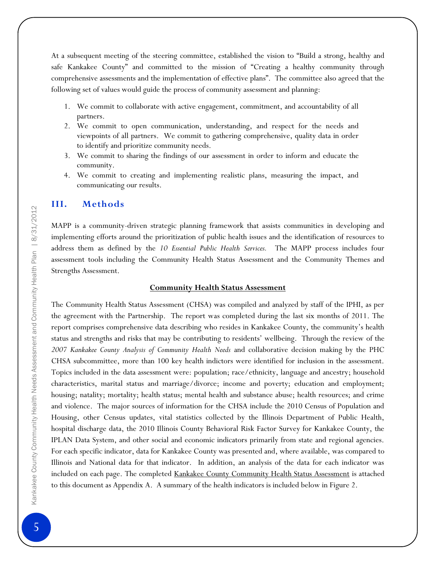At a subsequent meeting of the steering committee, established the vision to "Build a strong, healthy and safe Kankakee County" and committed to the mission of "Creating a healthy community through comprehensive assessments and the implementation of effective plans". The committee also agreed that the following set of values would guide the process of community assessment and planning:

- 1. We commit to collaborate with active engagement, commitment, and accountability of all partners.
- 2. We commit to open communication, understanding, and respect for the needs and viewpoints of all partners. We commit to gathering comprehensive, quality data in order to identify and prioritize community needs.
- 3. We commit to sharing the findings of our assessment in order to inform and educate the community.
- 4. We commit to creating and implementing realistic plans, measuring the impact, and communicating our results.

### **III. Methods**

MAPP is a community-driven strategic planning framework that assists communities in developing and implementing efforts around the prioritization of public health issues and the identification of resources to address them as defined by the *10 Essential Public Health Services.* The MAPP process includes four assessment tools including the Community Health Status Assessment and the Community Themes and Strengths Assessment.

#### **Community Health Status Assessment**

The Community Health Status Assessment (CHSA) was compiled and analyzed by staff of the IPHI, as per the agreement with the Partnership. The report was completed during the last six months of 2011. The report comprises comprehensive data describing who resides in Kankakee County, the community's health status and strengths and risks that may be contributing to residents' wellbeing. Through the review of the *2007 Kankakee County Analysis of Community Health Needs* and collaborative decision making by the PHC CHSA subcommittee, more than 100 key health indictors were identified for inclusion in the assessment. Topics included in the data assessment were: population; race/ethnicity, language and ancestry; household characteristics, marital status and marriage/divorce; income and poverty; education and employment; housing; natality; mortality; health status; mental health and substance abuse; health resources; and crime and violence. The major sources of information for the CHSA include the 2010 Census of Population and Housing, other Census updates, vital statistics collected by the Illinois Department of Public Health, hospital discharge data, the 2010 Illinois County Behavioral Risk Factor Survey for Kankakee County, the IPLAN Data System, and other social and economic indicators primarily from state and regional agencies. For each specific indicator, data for Kankakee County was presented and, where available, was compared to Illinois and National data for that indicator. In addition, an analysis of the data for each indicator was included on each page. The completed Kankakee County Community Health Status Assessment is attached to this document as Appendix A. A summary of the health indicators is included below in Figure 2.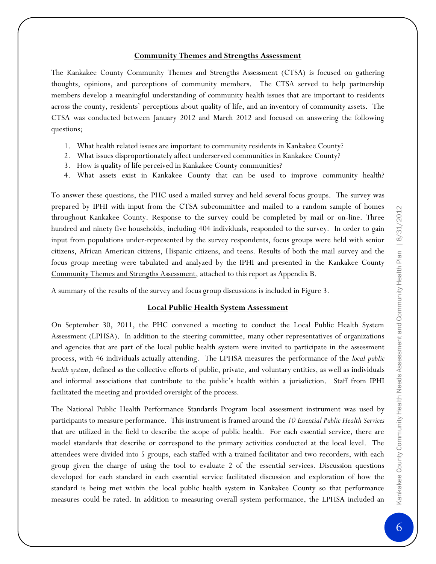### **Community Themes and Strengths Assessment**

The Kankakee County Community Themes and Strengths Assessment (CTSA) is focused on gathering thoughts, opinions, and perceptions of community members. The CTSA served to help partnership members develop a meaningful understanding of community health issues that are important to residents across the county, residents' perceptions about quality of life, and an inventory of community assets. The CTSA was conducted between January 2012 and March 2012 and focused on answering the following questions;

- 1. What health related issues are important to community residents in Kankakee County?
- 2. What issues disproportionately affect underserved communities in Kankakee County?
- 3. How is quality of life perceived in Kankakee County communities?
- 4. What assets exist in Kankakee County that can be used to improve community health?

To answer these questions, the PHC used a mailed survey and held several focus groups. The survey was prepared by IPHI with input from the CTSA subcommittee and mailed to a random sample of homes throughout Kankakee County. Response to the survey could be completed by mail or on-line. Three hundred and ninety five households, including 404 individuals, responded to the survey. In order to gain input from populations under-represented by the survey respondents, focus groups were held with senior citizens, African American citizens, Hispanic citizens, and teens. Results of both the mail survey and the focus group meeting were tabulated and analyzed by the IPHI and presented in the Kankakee County Community Themes and Strengths Assessment, attached to this report as Appendix B.

A summary of the results of the survey and focus group discussions is included in Figure 3.

### **Local Public Health System Assessment**

On September 30, 2011, the PHC convened a meeting to conduct the Local Public Health System Assessment (LPHSA). In addition to the steering committee, many other representatives of organizations and agencies that are part of the local public health system were invited to participate in the assessment process, with 46 individuals actually attending. The LPHSA measures the performance of the *local public health system*, defined as the collective efforts of public, private, and voluntary entities, as well as individuals and informal associations that contribute to the public's health within a jurisdiction. Staff from IPHI facilitated the meeting and provided oversight of the process.

The National Public Health Performance Standards Program local assessment instrument was used by participants to measure performance. This instrument is framed around the *10 Essential Public Health Services* that are utilized in the field to describe the scope of public health. For each essential service, there are model standards that describe or correspond to the primary activities conducted at the local level. The attendees were divided into 5 groups, each staffed with a trained facilitator and two recorders, with each group given the charge of using the tool to evaluate 2 of the essential services. Discussion questions developed for each standard in each essential service facilitated discussion and exploration of how the standard is being met within the local public health system in Kankakee County so that performance measures could be rated. In addition to measuring overall system performance, the LPHSA included an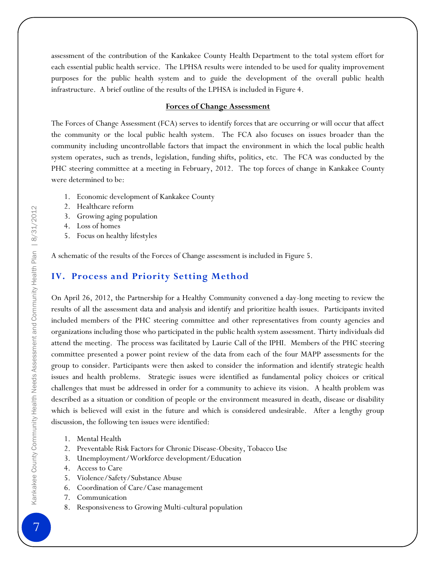assessment of the contribution of the Kankakee County Health Department to the total system effort for each essential public health service. The LPHSA results were intended to be used for quality improvement purposes for the public health system and to guide the development of the overall public health infrastructure. A brief outline of the results of the LPHSA is included in Figure 4.

### **Forces of Change Assessment**

The Forces of Change Assessment (FCA) serves to identify forces that are occurring or will occur that affect the community or the local public health system. The FCA also focuses on issues broader than the community including uncontrollable factors that impact the environment in which the local public health system operates, such as trends, legislation, funding shifts, politics, etc. The FCA was conducted by the PHC steering committee at a meeting in February, 2012. The top forces of change in Kankakee County were determined to be:

- 1. Economic development of Kankakee County
- 2. Healthcare reform
- 3. Growing aging population
- 4. Loss of homes
- 5. Focus on healthy lifestyles

A schematic of the results of the Forces of Change assessment is included in Figure 5.

### **IV. Process and Priority Setting Method**

On April 26, 2012, the Partnership for a Healthy Community convened a day-long meeting to review the results of all the assessment data and analysis and identify and prioritize health issues. Participants invited included members of the PHC steering committee and other representatives from county agencies and organizations including those who participated in the public health system assessment. Thirty individuals did attend the meeting. The process was facilitated by Laurie Call of the IPHI. Members of the PHC steering committee presented a power point review of the data from each of the four MAPP assessments for the group to consider. Participants were then asked to consider the information and identify strategic health issues and health problems. Strategic issues were identified as fundamental policy choices or critical challenges that must be addressed in order for a community to achieve its vision. A health problem was described as a situation or condition of people or the environment measured in death, disease or disability which is believed will exist in the future and which is considered undesirable. After a lengthy group discussion, the following ten issues were identified:

- 1. Mental Health
- 2. Preventable Risk Factors for Chronic Disease-Obesity, Tobacco Use
- 3. Unemployment/Workforce development/Education
- 4. Access to Care
- 5. Violence/Safety/Substance Abuse
- 6. Coordination of Care/Case management
- 7. Communication
- 8. Responsiveness to Growing Multi-cultural population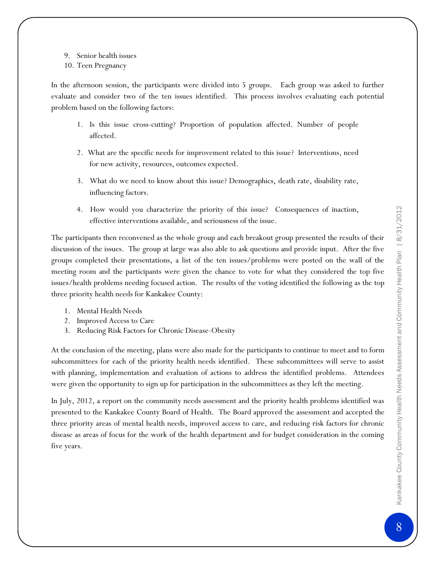- 9. Senior health issues
- 10. Teen Pregnancy

In the afternoon session, the participants were divided into 5 groups. Each group was asked to further evaluate and consider two of the ten issues identified. This process involves evaluating each potential problem based on the following factors:

- 1. Is this issue cross-cutting? Proportion of population affected. Number of people affected.
- 2. What are the specific needs for improvement related to this issue? Interventions, need for new activity, resources, outcomes expected.
- 3. What do we need to know about this issue? Demographics, death rate, disability rate, influencing factors.
- 4. How would you characterize the priority of this issue? Consequences of inaction, effective interventions available, and seriousness of the issue.

The participants then reconvened as the whole group and each breakout group presented the results of their discussion of the issues. The group at large was also able to ask questions and provide input. After the five groups completed their presentations, a list of the ten issues/problems were posted on the wall of the meeting room and the participants were given the chance to vote for what they considered the top five issues/health problems needing focused action. The results of the voting identified the following as the top three priority health needs for Kankakee County:

- 1. Mental Health Needs
- 2. Improved Access to Care
- 3. Reducing Risk Factors for Chronic Disease-Obesity

At the conclusion of the meeting, plans were also made for the participants to continue to meet and to form subcommittees for each of the priority health needs identified. These subcommittees will serve to assist with planning, implementation and evaluation of actions to address the identified problems. Attendees were given the opportunity to sign up for participation in the subcommittees as they left the meeting.

In July, 2012, a report on the community needs assessment and the priority health problems identified was presented to the Kankakee County Board of Health. The Board approved the assessment and accepted the three priority areas of mental health needs, improved access to care, and reducing risk factors for chronic disease as areas of focus for the work of the health department and for budget consideration in the coming five years.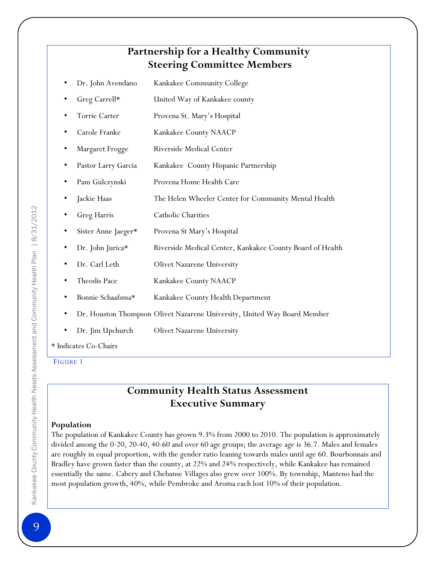### **Partnership for a Healthy Community Steering Committee Members**

- Dr. John Avendano Kankakee Community College
- Greg Carrell\* United Way of Kankakee county
- Torrie Carter Provena St. Mary's Hospital
- Carole Franke Kankakee County NAACP
- Margaret Frogge Riverside Medical Center
- Pastor Larry Garcia Kankakee County Hispanic Partnership
- Pam Gulczynski Provena Home Health Care
- Jackie Haas The Helen Wheeler Center for Community Mental Health
- Greg Harris Catholic Charities
- Sister Anne Jaeger\* Provena St Mary's Hospital
- Dr. John Jurica\* Riverside Medical Center, Kankakee County Board of Health
- Dr. Carl Leth Olivet Nazarene University
- Theodis Pace **Kankakee County NAACP**
- Bonnie Schaafsma\* Kankakee County Health Department
- Dr. Houston Thompson Olivet Nazarene University, United Way Board Member
- Dr. Jim Upchurch Olivet Nazarene University

\* Indicates Co-Chairs

FIGURE 1

### **Community Health Status Assessment Executive Summary**

### **Population**

The population of Kankakee County has grown 9.3% from 2000 to 2010. The population is approximately divided among the 0-20, 20-40, 40-60 and over 60 age groups; the average age is 36.7. Males and females are roughly in equal proportion, with the gender ratio leaning towards males until age 60. Bourbonnais and Bradley have grown faster than the county, at 22% and 24% respectively, while Kankakee has remained essentially the same. Cabery and Chebanse Villages also grew over 100%. By township, Manteno had the most population growth, 40%, while Pembroke and Aroma each lost 10% of their population.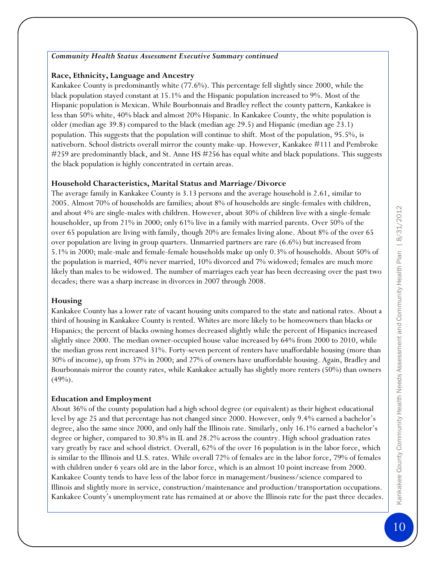### *Community Health Status Assessment Executive Summary continued*

### **Race, Ethnicity, Language and Ancestry**

Kankakee County is predominantly white (77.6%). This percentage fell slightly since 2000, while the black population stayed constant at 15.1% and the Hispanic population increased to 9%. Most of the Hispanic population is Mexican. While Bourbonnais and Bradley reflect the county pattern, Kankakee is less than 50% white, 40% black and almost 20% Hispanic. In Kankakee County, the white population is older (median age 39.8) compared to the black (median age 29.5) and Hispanic (median age 23.1) population. This suggests that the population will continue to shift. Most of the population, 95.5%, is nativeborn. School districts overall mirror the county make-up. However, Kankakee #111 and Pembroke #259 are predominantly black, and St. Anne HS #256 has equal white and black populations. This suggests the black population is highly concentrated in certain areas.

### **Household Characteristics, Marital Status and Marriage/Divorce**

The average family in Kankakee County is 3.13 persons and the average household is 2.61, similar to 2005. Almost 70% of households are families; about 8% of households are single-females with children, and about 4% are single-males with children. However, about 30% of children live with a single-female householder, up from 21% in 2000; only 61% live in a family with married parents. Over 50% of the over 65 population are living with family, though 20% are females living alone. About 8% of the over 65 over population are living in group quarters. Unmarried partners are rare (6.6%) but increased from 5.1% in 2000; male-male and female-female households make up only 0.3% of households. About 50% of the population is married, 40% never married, 10% divorced and 7% widowed; females are much more likely than males to be widowed. The number of marriages each year has been decreasing over the past two decades; there was a sharp increase in divorces in 2007 through 2008.

### **Housing**

Kankakee County has a lower rate of vacant housing units compared to the state and national rates. About a third of housing in Kankakee County is rented. Whites are more likely to be homeowners than blacks or Hispanics; the percent of blacks owning homes decreased slightly while the percent of Hispanics increased slightly since 2000. The median owner-occupied house value increased by 64% from 2000 to 2010, while the median gross rent increased 31%. Forty-seven percent of renters have unaffordable housing (more than 30% of income), up from 37% in 2000; and 27% of owners have unaffordable housing. Again, Bradley and Bourbonnais mirror the county rates, while Kankakee actually has slightly more renters (50%) than owners (49%).

### **Education and Employment**

About 36% of the county population had a high school degree (or equivalent) as their highest educational level by age 25 and that percentage has not changed since 2000. However, only 9.4% earned a bachelor's degree, also the same since 2000, and only half the Illinois rate. Similarly, only 16.1% earned a bachelor's degree or higher, compared to 30.8% in IL and 28.2% across the country. High school graduation rates vary greatly by race and school district. Overall, 62% of the over 16 population is in the labor force, which is similar to the Illinois and U.S. rates. While overall 72% of females are in the labor force, 79% of females with children under 6 years old are in the labor force, which is an almost 10 point increase from 2000. Kankakee County tends to have less of the labor force in management/business/science compared to Illinois and slightly more in service, construction/maintenance and production/transportation occupations. Kankakee County's unemployment rate has remained at or above the Illinois rate for the past three decades.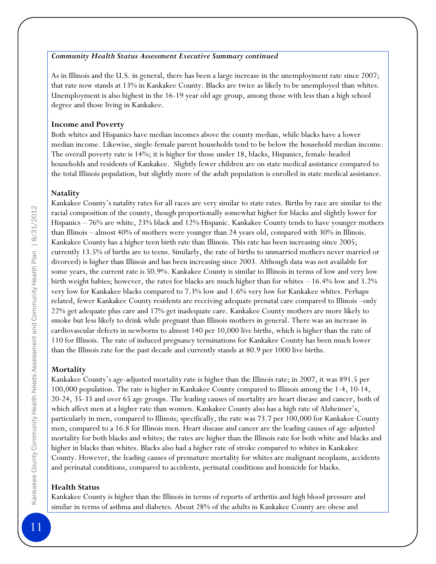### *Community Health Status Assessment Executive Summary continued*

As in Illinois and the U.S. in general, there has been a large increase in the unemployment rate since 2007; that rate now stands at 13% in Kankakee County. Blacks are twice as likely to be unemployed than whites. Unemployment is also highest in the 16-19 year old age group, among those with less than a high school degree and those living in Kankakee.

### **Income and Poverty**

Both whites and Hispanics have median incomes above the county median, while blacks have a lower median income. Likewise, single-female parent households tend to be below the household median income. The overall poverty rate is 14%; it is higher for those under 18, blacks, Hispanics, female-headed households and residents of Kankakee. Slightly fewer children are on state medical assistance compared to the total Illinois population, but slightly more of the adult population is enrolled in state medical assistance.

### **Natality**

Kankakee County's natality rates for all races are very similar to state rates. Births by race are similar to the racial composition of the county, though proportionally somewhat higher for blacks and slightly lower for Hispanics – 76% are white, 23% black and 12% Hispanic. Kankakee County tends to have younger mothers than Illinois – almost 40% of mothers were younger than 24 years old, compared with 30% in Illinois. Kankakee County has a higher teen birth rate than Illinois. This rate has been increasing since 2005; currently 13.5% of births are to teens. Similarly, the rate of births to unmarried mothers never married or divorced) is higher than Illinois and has been increasing since 2003. Although data was not available for some years, the current rate is 50.9%. Kankakee County is similar to Illinois in terms of low and very low birth weight babies; however, the rates for blacks are much higher than for whites – 16.4% low and 3.2% very low for Kankakee blacks compared to 7.3% low and 1.6% very low for Kankakee whites. Perhaps related, fewer Kankakee County residents are receiving adequate prenatal care compared to Illinois –only 22% get adequate plus care and 17% get inadequate care. Kankakee County mothers are more likely to smoke but less likely to drink while pregnant than Illinois mothers in general. There was an increase in cardiovascular defects in newborns to almost 140 per 10,000 live births, which is higher than the rate of 110 for Illinois. The rate of induced pregnancy terminations for Kankakee County has been much lower than the Illinois rate for the past decade and currently stands at 80.9 per 1000 live births.

### **Mortality**

Kankakee County's age-adjusted mortality rate is higher than the Illinois rate; in 2007, it was 891.5 per 100,000 population. The rate is higher in Kankakee County compared to Illinois among the 1-4, 10-14, 20-24, 35-33 and over 65 age groups. The leading causes of mortality are heart disease and cancer, both of which affect men at a higher rate than women. Kankakee County also has a high rate of Alzheimer's, particularly in men, compared to Illinois; specifically, the rate was 73.7 per 100,000 for Kankakee County men, compared to a 16.8 for Illinois men. Heart disease and cancer are the leading causes of age-adjusted mortality for both blacks and whites; the rates are higher than the Illinois rate for both white and blacks and higher in blacks than whites. Blacks also had a higher rate of stroke compared to whites in Kankakee County. However, the leading causes of premature mortality for whites are malignant neoplasm, accidents and perinatal conditions, compared to accidents, perinatal conditions and homicide for blacks.

### **Health Status**

Kankakee County is higher than the Illinois in terms of reports of arthritis and high blood pressure and similar in terms of asthma and diabetes. About 28% of the adults in Kankakee County are obese and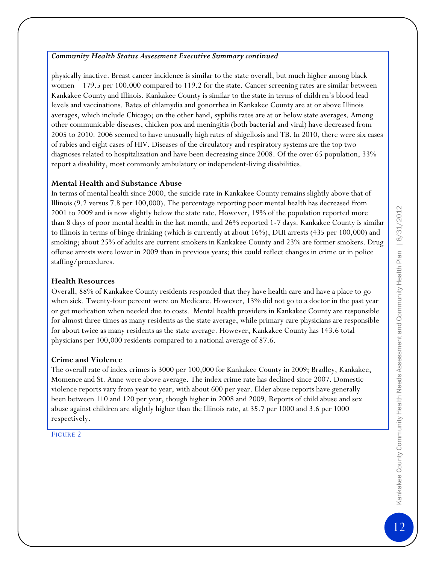### *Community Health Status Assessment Executive Summary continued*

physically inactive. Breast cancer incidence is similar to the state overall, but much higher among black women – 179.5 per 100,000 compared to 119.2 for the state. Cancer screening rates are similar between Kankakee County and Illinois. Kankakee County is similar to the state in terms of children's blood lead levels and vaccinations. Rates of chlamydia and gonorrhea in Kankakee County are at or above Illinois averages, which include Chicago; on the other hand, syphilis rates are at or below state averages. Among other communicable diseases, chicken pox and meningitis (both bacterial and viral) have decreased from 2005 to 2010. 2006 seemed to have unusually high rates of shigellosis and TB. In 2010, there were six cases of rabies and eight cases of HIV. Diseases of the circulatory and respiratory systems are the top two diagnoses related to hospitalization and have been decreasing since 2008. Of the over 65 population, 33% report a disability, most commonly ambulatory or independent-living disabilities.

### **Mental Health and Substance Abuse**

In terms of mental health since 2000, the suicide rate in Kankakee County remains slightly above that of Illinois (9.2 versus 7.8 per 100,000). The percentage reporting poor mental health has decreased from 2001 to 2009 and is now slightly below the state rate. However, 19% of the population reported more than 8 days of poor mental health in the last month, and 26% reported 1-7 days. Kankakee County is similar to Illinois in terms of binge drinking (which is currently at about 16%), DUI arrests (435 per 100,000) and smoking; about 25% of adults are current smokers in Kankakee County and 23% are former smokers. Drug offense arrests were lower in 2009 than in previous years; this could reflect changes in crime or in police staffing/procedures.

### **Health Resources**

Overall, 88% of Kankakee County residents responded that they have health care and have a place to go when sick. Twenty-four percent were on Medicare. However, 13% did not go to a doctor in the past year or get medication when needed due to costs. Mental health providers in Kankakee County are responsible for almost three times as many residents as the state average, while primary care physicians are responsible for about twice as many residents as the state average. However, Kankakee County has 143.6 total physicians per 100,000 residents compared to a national average of 87.6.

### **Crime and Violence**

The overall rate of index crimes is 3000 per 100,000 for Kankakee County in 2009; Bradley, Kankakee, Momence and St. Anne were above average. The index crime rate has declined since 2007. Domestic violence reports vary from year to year, with about 600 per year. Elder abuse reports have generally been between 110 and 120 per year, though higher in 2008 and 2009. Reports of child abuse and sex abuse against children are slightly higher than the Illinois rate, at 35.7 per 1000 and 3.6 per 1000 respectively.

### FIGURE 2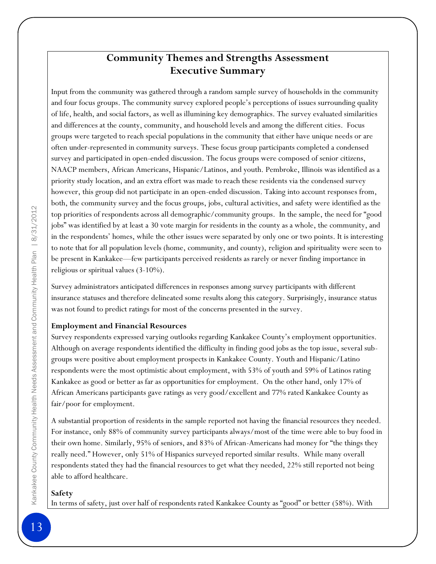### **Community Themes and Strengths Assessment Executive Summary**

Input from the community was gathered through a random sample survey of households in the community and four focus groups. The community survey explored people's perceptions of issues surrounding quality of life, health, and social factors, as well as illumining key demographics. The survey evaluated similarities and differences at the county, community, and household levels and among the different cities. Focus groups were targeted to reach special populations in the community that either have unique needs or are often under-represented in community surveys. These focus group participants completed a condensed survey and participated in open-ended discussion. The focus groups were composed of senior citizens, NAACP members, African Americans, Hispanic/Latinos, and youth. Pembroke, Illinois was identified as a priority study location, and an extra effort was made to reach these residents via the condensed survey however, this group did not participate in an open-ended discussion. Taking into account responses from, both, the community survey and the focus groups, jobs, cultural activities, and safety were identified as the top priorities of respondents across all demographic/community groups. In the sample, the need for "good jobs" was identified by at least a 30 vote margin for residents in the county as a whole, the community, and in the respondents' homes, while the other issues were separated by only one or two points. It is interesting to note that for all population levels (home, community, and county), religion and spirituality were seen to be present in Kankakee—few participants perceived residents as rarely or never finding importance in religious or spiritual values (3-10%).

Survey administrators anticipated differences in responses among survey participants with different insurance statuses and therefore delineated some results along this category. Surprisingly, insurance status was not found to predict ratings for most of the concerns presented in the survey.

### **Employment and Financial Resources**

Survey respondents expressed varying outlooks regarding Kankakee County's employment opportunities. Although on average respondents identified the difficulty in finding good jobs as the top issue, several subgroups were positive about employment prospects in Kankakee County. Youth and Hispanic/Latino respondents were the most optimistic about employment, with 53% of youth and 59% of Latinos rating Kankakee as good or better as far as opportunities for employment. On the other hand, only 17% of African Americans participants gave ratings as very good/excellent and 77% rated Kankakee County as fair/poor for employment.

A substantial proportion of residents in the sample reported not having the financial resources they needed. For instance, only 88% of community survey participants always/most of the time were able to buy food in their own home. Similarly, 95% of seniors, and 83% of African-Americans had money for "the things they really need." However, only 51% of Hispanics surveyed reported similar results. While many overall respondents stated they had the financial resources to get what they needed, 22% still reported not being able to afford healthcare.

### **Safety**

In terms of safety, just over half of respondents rated Kankakee County as "good" or better (58%). With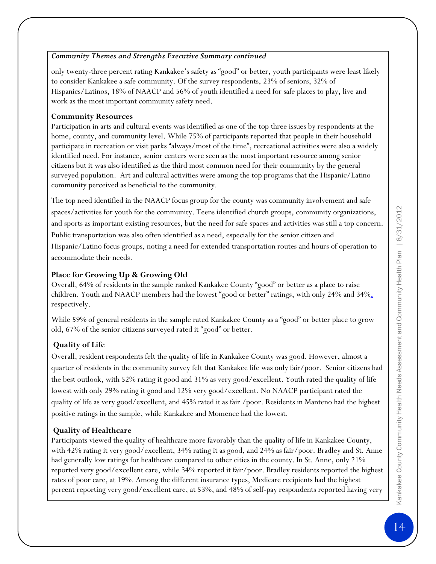### *Community Themes and Strengths Executive Summary continued*

only twenty-three percent rating Kankakee's safety as "good" or better, youth participants were least likely to consider Kankakee a safe community. Of the survey respondents, 23% of seniors, 32% of Hispanics/Latinos, 18% of NAACP and 56% of youth identified a need for safe places to play, live and work as the most important community safety need.

### **Community Resources**

Participation in arts and cultural events was identified as one of the top three issues by respondents at the home, county, and community level. While 75% of participants reported that people in their household participate in recreation or visit parks "always/most of the time", recreational activities were also a widely identified need. For instance, senior centers were seen as the most important resource among senior citizens but it was also identified as the third most common need for their community by the general surveyed population. Art and cultural activities were among the top programs that the Hispanic/Latino community perceived as beneficial to the community.

The top need identified in the NAACP focus group for the county was community involvement and safe spaces/activities for youth for the community. Teens identified church groups, community organizations, and sports as important existing resources, but the need for safe spaces and activities was still a top concern. Public transportation was also often identified as a need, especially for the senior citizen and Hispanic/Latino focus groups, noting a need for extended transportation routes and hours of operation to accommodate their needs.

### **Place for Growing Up & Growing Old**

Overall, 64% of residents in the sample ranked Kankakee County "good" or better as a place to raise children. Youth and NAACP members had the lowest "good or better" ratings, with only 24% and 34%, respectively.

While 59% of general residents in the sample rated Kankakee County as a "good" or better place to grow old, 67% of the senior citizens surveyed rated it "good" or better.

### **Quality of Life**

Overall, resident respondents felt the quality of life in Kankakee County was good. However, almost a quarter of residents in the community survey felt that Kankakee life was only fair/poor. Senior citizens had the best outlook, with 52% rating it good and 31% as very good/excellent. Youth rated the quality of life lowest with only 29% rating it good and 12% very good/excellent. No NAACP participant rated the quality of life as very good/excellent, and 45% rated it as fair /poor. Residents in Manteno had the highest positive ratings in the sample, while Kankakee and Momence had the lowest.

### **Quality of Healthcare**

Participants viewed the quality of healthcare more favorably than the quality of life in Kankakee County, with 42% rating it very good/excellent, 34% rating it as good, and 24% as fair/poor. Bradley and St. Anne had generally low ratings for healthcare compared to other cities in the county. In St. Anne, only 21% reported very good/excellent care, while 34% reported it fair/poor. Bradley residents reported the highest rates of poor care, at 19%. Among the different insurance types, Medicare recipients had the highest percent reporting very good/excellent care, at 53%, and 48% of self-pay respondents reported having very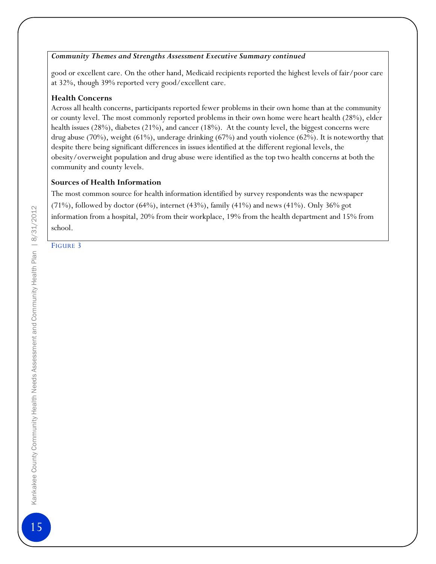### *Community Themes and Strengths Assessment Executive Summary continued*

good or excellent care. On the other hand, Medicaid recipients reported the highest levels of fair/poor care at 32%, though 39% reported very good/excellent care.

### **Health Concerns**

Across all health concerns, participants reported fewer problems in their own home than at the community or county level. The most commonly reported problems in their own home were heart health (28%), elder health issues (28%), diabetes (21%), and cancer (18%). At the county level, the biggest concerns were drug abuse (70%), weight (61%), underage drinking (67%) and youth violence (62%). It is noteworthy that despite there being significant differences in issues identified at the different regional levels, the obesity/overweight population and drug abuse were identified as the top two health concerns at both the community and county levels.

### **Sources of Health Information**

The most common source for health information identified by survey respondents was the newspaper (71%), followed by doctor (64%), internet (43%), family (41%) and news (41%). Only 36% got information from a hospital, 20% from their workplace, 19% from the health department and 15% from school.

FIGURE 3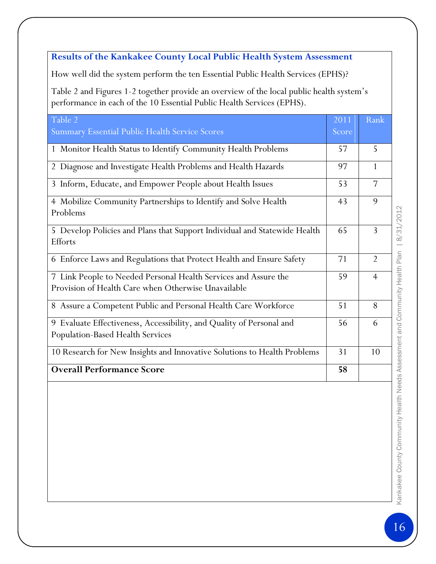### **Results of the Kankakee County Local Public Health System Assessment**

How well did the system perform the ten Essential Public Health Services (EPHS)?

Table 2 and Figures 1-2 together provide an overview of the local public health system's performance in each of the 10 Essential Public Health Services (EPHS).

| Table 2<br>Summary Essential Public Health Service Scores                                                              | 2011<br>Score | Rank           |
|------------------------------------------------------------------------------------------------------------------------|---------------|----------------|
| 1 Monitor Health Status to Identify Community Health Problems                                                          | 57            | 5              |
| 2 Diagnose and Investigate Health Problems and Health Hazards                                                          | 97            | $\mathbf{1}$   |
| 3 Inform, Educate, and Empower People about Health Issues                                                              | 53            | $\overline{7}$ |
| 4 Mobilize Community Partnerships to Identify and Solve Health<br>Problems                                             | 43            | 9              |
| 5 Develop Policies and Plans that Support Individual and Statewide Health<br>Efforts                                   | 65            | 3              |
| 6 Enforce Laws and Regulations that Protect Health and Ensure Safety                                                   | 71            | $\overline{2}$ |
| 7 Link People to Needed Personal Health Services and Assure the<br>Provision of Health Care when Otherwise Unavailable | 59            | $\overline{4}$ |
| Assure a Competent Public and Personal Health Care Workforce<br>8                                                      | 51            | 8              |
| 9 Evaluate Effectiveness, Accessibility, and Quality of Personal and<br><b>Population-Based Health Services</b>        | 56            | 6              |
| 10 Research for New Insights and Innovative Solutions to Health Problems                                               | 31            | 10             |
| <b>Overall Performance Score</b>                                                                                       | 58            |                |

Kankakee County Community Health Needs Assessment and Community Health Plan | 8/31/2012 Kankakee County Community Health Needs Assessment and Community Health Plan | 8/31/2012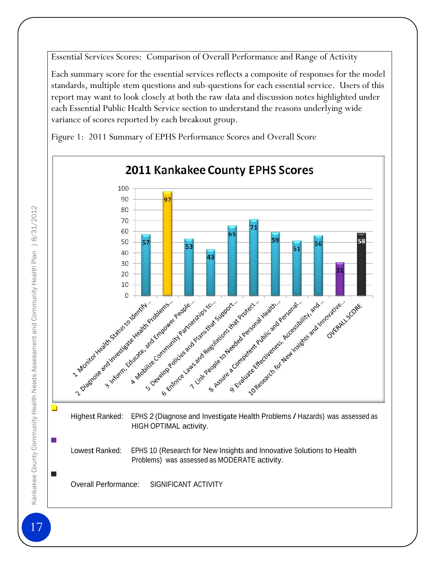Essential Services Scores: Comparison of Overall Performance and Range of Activity

Each summary score for the essential services reflects a composite of responses for the model standards, multiple stem questions and sub-questions for each essential service. Users of this report may want to look closely at both the raw data and discussion notes highlighted under each Essential Public Health Service section to understand the reasons underlying wide variance of scores reported by each breakout group.

Figure 1: 2011 Summary of EPHS Performance Scores and Overall Score

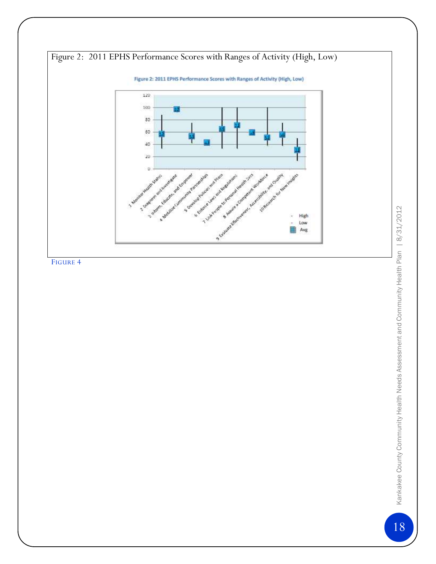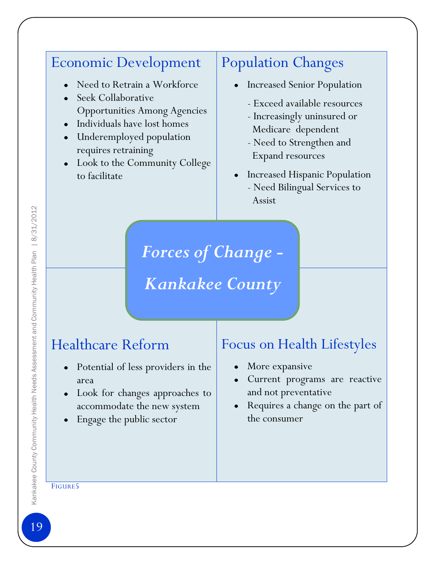## Economic Development

- Need to Retrain a Workforce
- Seek Collaborative Opportunities Among Agencies
- Individuals have lost homes
- Underemployed population requires retraining
- Look to the Community College to facilitate

## Population Changes

- Increased Senior Population
	- Exceed available resources
	- Increasingly uninsured or Medicare dependent
	- Need to Strengthen and Expand resources
- Increased Hispanic Population - Need Bilingual Services to Assist

*Forces of Change -*

# *Kankakee County*

## Healthcare Reform

- Potential of less providers in the  $\bullet$ area
- Look for changes approaches to accommodate the new system
- Engage the public sector

## Focus on Health Lifestyles

- More expansive  $\bullet$
- Current programs are reactive  $\bullet$ and not preventative
- Requires a change on the part of the consumer

### FIGURE5

Kankakee County Community Health Needs Assessment and Community Health Plan | 8/31/2012 19Kankakee County Community Health Needs Assessment and Community Health Plan | 8/31/2012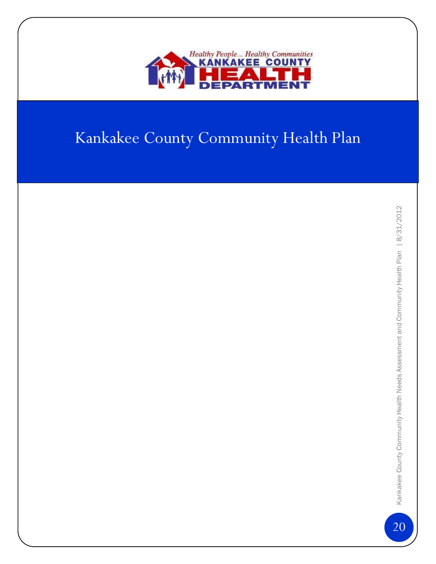

# Kankakee County Community Health Plan

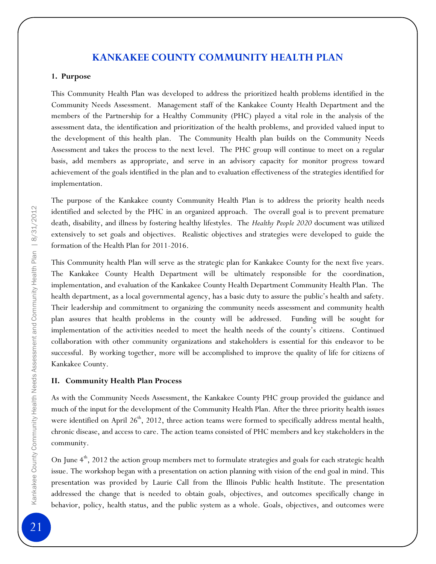### **KANKAKEE COUNTY COMMUNITY HEALTH PLAN**

#### **1. Purpose**

This Community Health Plan was developed to address the prioritized health problems identified in the Community Needs Assessment. Management staff of the Kankakee County Health Department and the members of the Partnership for a Healthy Community (PHC) played a vital role in the analysis of the assessment data, the identification and prioritization of the health problems, and provided valued input to the development of this health plan. The Community Health plan builds on the Community Needs Assessment and takes the process to the next level. The PHC group will continue to meet on a regular basis, add members as appropriate, and serve in an advisory capacity for monitor progress toward achievement of the goals identified in the plan and to evaluation effectiveness of the strategies identified for implementation.

The purpose of the Kankakee county Community Health Plan is to address the priority health needs identified and selected by the PHC in an organized approach. The overall goal is to prevent premature death, disability, and illness by fostering healthy lifestyles. The *Healthy People 2020* document was utilized extensively to set goals and objectives. Realistic objectives and strategies were developed to guide the formation of the Health Plan for 2011-2016.

This Community health Plan will serve as the strategic plan for Kankakee County for the next five years. The Kankakee County Health Department will be ultimately responsible for the coordination, implementation, and evaluation of the Kankakee County Health Department Community Health Plan. The health department, as a local governmental agency, has a basic duty to assure the public's health and safety. Their leadership and commitment to organizing the community needs assessment and community health plan assures that health problems in the county will be addressed. Funding will be sought for implementation of the activities needed to meet the health needs of the county's citizens. Continued collaboration with other community organizations and stakeholders is essential for this endeavor to be successful. By working together, more will be accomplished to improve the quality of life for citizens of Kankakee County.

### **II. Community Health Plan Process**

As with the Community Needs Assessment, the Kankakee County PHC group provided the guidance and much of the input for the development of the Community Health Plan. After the three priority health issues were identified on April  $26<sup>th</sup>$ , 2012, three action teams were formed to specifically address mental health, chronic disease, and access to care. The action teams consisted of PHC members and key stakeholders in the community.

On June 4<sup>th</sup>, 2012 the action group members met to formulate strategies and goals for each strategic health issue. The workshop began with a presentation on action planning with vision of the end goal in mind. This presentation was provided by Laurie Call from the Illinois Public health Institute. The presentation addressed the change that is needed to obtain goals, objectives, and outcomes specifically change in behavior, policy, health status, and the public system as a whole. Goals, objectives, and outcomes were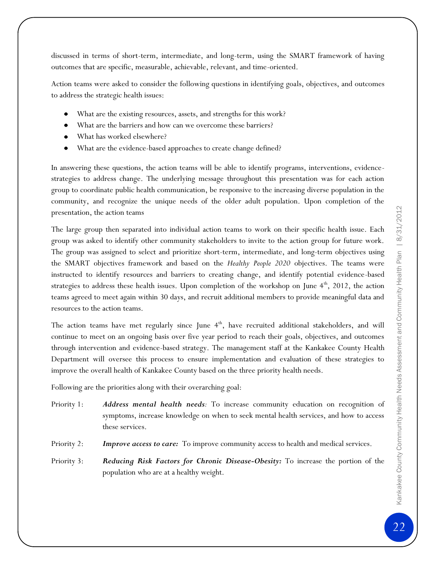discussed in terms of short-term, intermediate, and long-term, using the SMART framework of having outcomes that are specific, measurable, achievable, relevant, and time-oriented.

Action teams were asked to consider the following questions in identifying goals, objectives, and outcomes to address the strategic health issues:

- What are the existing resources, assets, and strengths for this work?
- $\bullet$ What are the barriers and how can we overcome these barriers?
- What has worked elsewhere?
- What are the evidence-based approaches to create change defined?

In answering these questions, the action teams will be able to identify programs, interventions, evidencestrategies to address change. The underlying message throughout this presentation was for each action group to coordinate public health communication, be responsive to the increasing diverse population in the community, and recognize the unique needs of the older adult population. Upon completion of the presentation, the action teams

The large group then separated into individual action teams to work on their specific health issue. Each group was asked to identify other community stakeholders to invite to the action group for future work. The group was assigned to select and prioritize short-term, intermediate, and long-term objectives using the SMART objectives framework and based on the *Healthy People 2020* objectives. The teams were instructed to identify resources and barriers to creating change, and identify potential evidence-based strategies to address these health issues. Upon completion of the workshop on June  $4<sup>th</sup>$ , 2012, the action teams agreed to meet again within 30 days, and recruit additional members to provide meaningful data and resources to the action teams.

The action teams have met regularly since June  $4<sup>th</sup>$ , have recruited additional stakeholders, and will continue to meet on an ongoing basis over five year period to reach their goals, objectives, and outcomes through intervention and evidence-based strategy. The management staff at the Kankakee County Health Department will oversee this process to ensure implementation and evaluation of these strategies to improve the overall health of Kankakee County based on the three priority health needs.

Following are the priorities along with their overarching goal:

- Priority 1: *Address mental health needs:* To increase community education on recognition of symptoms, increase knowledge on when to seek mental health services, and how to access these services.
- Priority 2: *Improve access to care:* To improve community access to health and medical services.
- Priority 3: *Reducing Risk Factors for Chronic Disease-Obesity:* To increase the portion of the population who are at a healthy weight.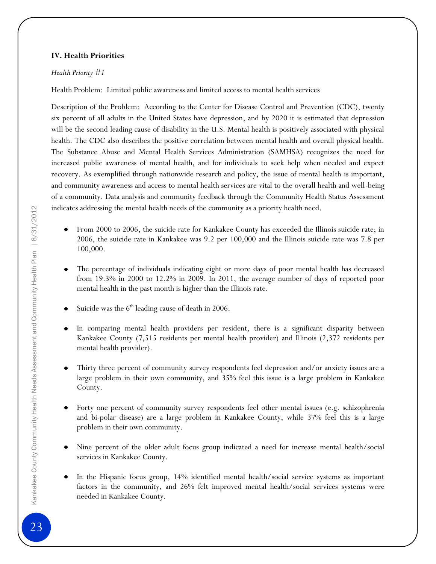### **IV. Health Priorities**

### *Health Priority #1*

Health Problem: Limited public awareness and limited access to mental health services

Description of the Problem: According to the Center for Disease Control and Prevention (CDC), twenty six percent of all adults in the United States have depression, and by 2020 it is estimated that depression will be the second leading cause of disability in the U.S. Mental health is positively associated with physical health. The CDC also describes the positive correlation between mental health and overall physical health. The Substance Abuse and Mental Health Services Administration (SAMHSA) recognizes the need for increased public awareness of mental health, and for individuals to seek help when needed and expect recovery. As exemplified through nationwide research and policy, the issue of mental health is important, and community awareness and access to mental health services are vital to the overall health and well-being of a community. Data analysis and community feedback through the Community Health Status Assessment indicates addressing the mental health needs of the community as a priority health need.

- From 2000 to 2006, the suicide rate for Kankakee County has exceeded the Illinois suicide rate; in 2006, the suicide rate in Kankakee was 9.2 per 100,000 and the Illinois suicide rate was 7.8 per 100,000.
- The percentage of individuals indicating eight or more days of poor mental health has decreased  $\bullet$ from 19.3% in 2000 to 12.2% in 2009. In 2011, the average number of days of reported poor mental health in the past month is higher than the Illinois rate.
- Suicide was the  $6<sup>th</sup>$  leading cause of death in 2006.  $\bullet$
- In comparing mental health providers per resident, there is a significant disparity between Kankakee County (7,515 residents per mental health provider) and Illinois (2,372 residents per mental health provider).
- Thirty three percent of community survey respondents feel depression and/or anxiety issues are a large problem in their own community, and 35% feel this issue is a large problem in Kankakee County.
- Forty one percent of community survey respondents feel other mental issues (e.g. schizophrenia and bi-polar disease) are a large problem in Kankakee County, while 37% feel this is a large problem in their own community.
- Nine percent of the older adult focus group indicated a need for increase mental health/social services in Kankakee County.
- In the Hispanic focus group, 14% identified mental health/social service systems as important factors in the community, and 26% felt improved mental health/social services systems were needed in Kankakee County.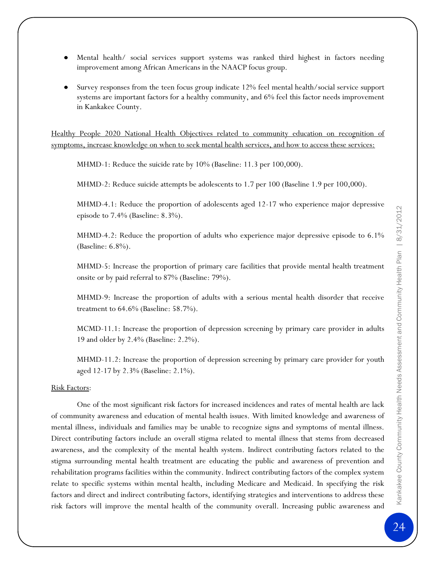- Mental health/ social services support systems was ranked third highest in factors needing improvement among African Americans in the NAACP focus group.
- Survey responses from the teen focus group indicate 12% feel mental health/social service support systems are important factors for a healthy community, and 6% feel this factor needs improvement in Kankakee County.

Healthy People 2020 National Health Objectives related to community education on recognition of symptoms, increase knowledge on when to seek mental health services, and how to access these services:

MHMD-1: Reduce the suicide rate by 10% (Baseline: 11.3 per 100,000).

MHMD-2: Reduce suicide attempts be adolescents to 1.7 per 100 (Baseline 1.9 per 100,000).

MHMD-4.1: Reduce the proportion of adolescents aged 12-17 who experience major depressive episode to 7.4% (Baseline: 8.3%).

MHMD-4.2: Reduce the proportion of adults who experience major depressive episode to 6.1% (Baseline: 6.8%).

MHMD-5: Increase the proportion of primary care facilities that provide mental health treatment onsite or by paid referral to 87% (Baseline: 79%).

MHMD-9: Increase the proportion of adults with a serious mental health disorder that receive treatment to 64.6% (Baseline: 58.7%).

MCMD-11.1: Increase the proportion of depression screening by primary care provider in adults 19 and older by 2.4% (Baseline: 2.2%).

MHMD-11.2: Increase the proportion of depression screening by primary care provider for youth aged 12-17 by 2.3% (Baseline: 2.1%).

### Risk Factors:

One of the most significant risk factors for increased incidences and rates of mental health are lack of community awareness and education of mental health issues. With limited knowledge and awareness of mental illness, individuals and families may be unable to recognize signs and symptoms of mental illness. Direct contributing factors include an overall stigma related to mental illness that stems from decreased awareness, and the complexity of the mental health system. Indirect contributing factors related to the stigma surrounding mental health treatment are educating the public and awareness of prevention and rehabilitation programs facilities within the community. Indirect contributing factors of the complex system relate to specific systems within mental health, including Medicare and Medicaid. In specifying the risk factors and direct and indirect contributing factors, identifying strategies and interventions to address these risk factors will improve the mental health of the community overall. Increasing public awareness and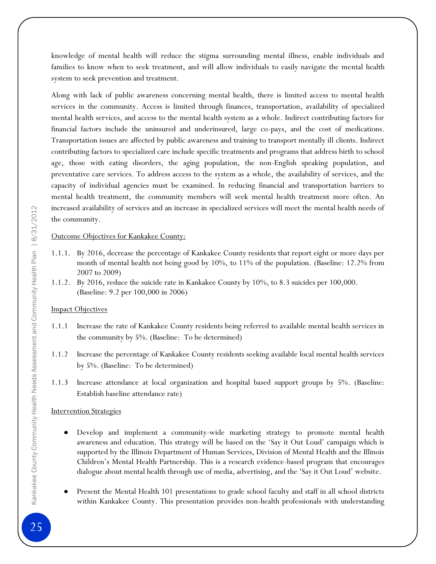knowledge of mental health will reduce the stigma surrounding mental illness, enable individuals and families to know when to seek treatment, and will allow individuals to easily navigate the mental health system to seek prevention and treatment.

Along with lack of public awareness concerning mental health, there is limited access to mental health services in the community. Access is limited through finances, transportation, availability of specialized mental health services, and access to the mental health system as a whole. Indirect contributing factors for financial factors include the uninsured and underinsured, large co-pays, and the cost of medications. Transportation issues are affected by public awareness and training to transport mentally ill clients. Indirect contributing factors to specialized care include specific treatments and programs that address birth to school age, those with eating disorders, the aging population, the non-English speaking population, and preventative care services. To address access to the system as a whole, the availability of services, and the capacity of individual agencies must be examined. In reducing financial and transportation barriers to mental health treatment, the community members will seek mental health treatment more often. An increased availability of services and an increase in specialized services will meet the mental health needs of the community.

### Outcome Objectives for Kankakee County:

- 1.1.1. By 2016, decrease the percentage of Kankakee County residents that report eight or more days per month of mental health not being good by 10%, to 11% of the population. (Baseline: 12.2% from 2007 to 2009)
- 1.1.2. By 2016, reduce the suicide rate in Kankakee County by 10%, to 8.3 suicides per 100,000. (Baseline: 9.2 per 100,000 in 2006)

### **Impact Objectives**

- 1.1.1 Increase the rate of Kankakee County residents being referred to available mental health services in the community by 5%. (Baseline: To be determined)
- 1.1.2 Increase the percentage of Kankakee County residents seeking available local mental health services by 5%. (Baseline: To be determined)
- 1.1.3 Increase attendance at local organization and hospital based support groups by 5%. (Baseline: Establish baseline attendance rate)

### Intervention Strategies

- Develop and implement a community-wide marketing strategy to promote mental health awareness and education. This strategy will be based on the 'Say it Out Loud' campaign which is supported by the Illinois Department of Human Services, Division of Mental Health and the Illinois Children's Mental Health Partnership. This is a research evidence-based program that encourages dialogue about mental health through use of media, advertising, and the 'Say it Out Loud' website.
- Present the Mental Health 101 presentations to grade school faculty and staff in all school districts within Kankakee County. This presentation provides non-health professionals with understanding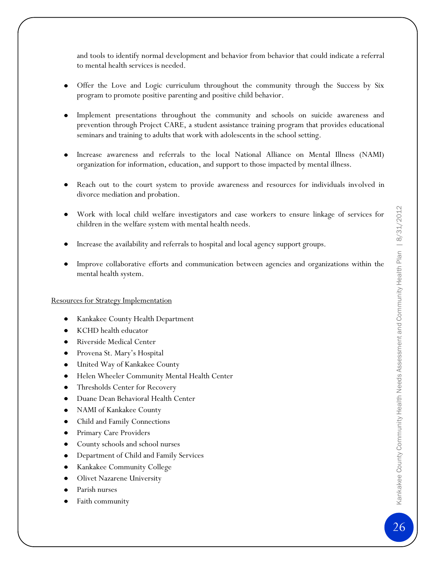and tools to identify normal development and behavior from behavior that could indicate a referral to mental health services is needed.

- Offer the Love and Logic curriculum throughout the community through the Success by Six program to promote positive parenting and positive child behavior.
- Implement presentations throughout the community and schools on suicide awareness and prevention through Project CARE, a student assistance training program that provides educational seminars and training to adults that work with adolescents in the school setting.
- Increase awareness and referrals to the local National Alliance on Mental Illness (NAMI) organization for information, education, and support to those impacted by mental illness.
- Reach out to the court system to provide awareness and resources for individuals involved in divorce mediation and probation.
- Work with local child welfare investigators and case workers to ensure linkage of services for children in the welfare system with mental health needs.
- Increase the availability and referrals to hospital and local agency support groups.
- Improve collaborative efforts and communication between agencies and organizations within the mental health system.

### Resources for Strategy Implementation

- Kankakee County Health Department
- KCHD health educator
- Riverside Medical Center
- Provena St. Mary's Hospital
- United Way of Kankakee County
- Helen Wheeler Community Mental Health Center
- Thresholds Center for Recovery
- Duane Dean Behavioral Health Center
- NAMI of Kankakee County
- Child and Family Connections
- Primary Care Providers
- County schools and school nurses
- Department of Child and Family Services
- Kankakee Community College
- Olivet Nazarene University
- Parish nurses
- Faith community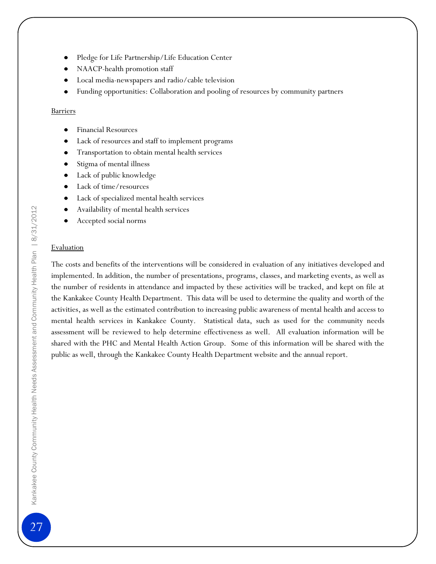- Pledge for Life Partnership/Life Education Center
- NAACP-health promotion staff
- Local media-newspapers and radio/cable television
- Funding opportunities: Collaboration and pooling of resources by community partners

### **Barriers**

- Financial Resources
- Lack of resources and staff to implement programs
- Transportation to obtain mental health services
- Stigma of mental illness
- Lack of public knowledge
- Lack of time/resources
- Lack of specialized mental health services
- Availability of mental health services
- Accepted social norms

### Evaluation

The costs and benefits of the interventions will be considered in evaluation of any initiatives developed and implemented. In addition, the number of presentations, programs, classes, and marketing events, as well as the number of residents in attendance and impacted by these activities will be tracked, and kept on file at the Kankakee County Health Department. This data will be used to determine the quality and worth of the activities, as well as the estimated contribution to increasing public awareness of mental health and access to mental health services in Kankakee County. Statistical data, such as used for the community needs assessment will be reviewed to help determine effectiveness as well. All evaluation information will be shared with the PHC and Mental Health Action Group. Some of this information will be shared with the public as well, through the Kankakee County Health Department website and the annual report.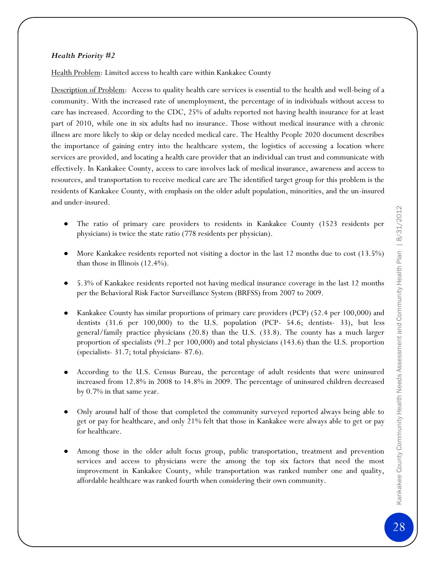### *Health Priority #2*

Health Problem: Limited access to health care within Kankakee County

Description of Problem: Access to quality health care services is essential to the health and well-being of a community. With the increased rate of unemployment, the percentage of in individuals without access to care has increased. According to the CDC, 25% of adults reported not having health insurance for at least part of 2010, while one in six adults had no insurance. Those without medical insurance with a chronic illness are more likely to skip or delay needed medical care. The Healthy People 2020 document describes the importance of gaining entry into the healthcare system, the logistics of accessing a location where services are provided, and locating a health care provider that an individual can trust and communicate with effectively. In Kankakee County, access to care involves lack of medical insurance, awareness and access to resources, and transportation to receive medical care are The identified target group for this problem is the residents of Kankakee County, with emphasis on the older adult population, minorities, and the un-insured and under-insured.

- The ratio of primary care providers to residents in Kankakee County (1523 residents per physicians) is twice the state ratio (778 residents per physician).
- More Kankakee residents reported not visiting a doctor in the last 12 months due to cost (13.5%) than those in Illinois (12.4%).
- 5.3% of Kankakee residents reported not having medical insurance coverage in the last 12 months per the Behavioral Risk Factor Surveillance System (BRFSS) from 2007 to 2009.
- Kankakee County has similar proportions of primary care providers (PCP) (52.4 per 100,000) and dentists (31.6 per 100,000) to the U.S. population (PCP- 54.6; dentists- 33), but less general/family practice physicians (20.8) than the U.S. (33.8). The county has a much larger proportion of specialists (91.2 per 100,000) and total physicians (143.6) than the U.S. proportion (specialists- 31.7; total physicians- 87.6).
- According to the U.S. Census Bureau, the percentage of adult residents that were uninsured increased from 12.8% in 2008 to 14.8% in 2009. The percentage of uninsured children decreased by 0.7% in that same year.
- Only around half of those that completed the community surveyed reported always being able to get or pay for healthcare, and only 21% felt that those in Kankakee were always able to get or pay for healthcare.
- Among those in the older adult focus group, public transportation, treatment and prevention services and access to physicians were the among the top six factors that need the most improvement in Kankakee County, while transportation was ranked number one and quality, affordable healthcare was ranked fourth when considering their own community.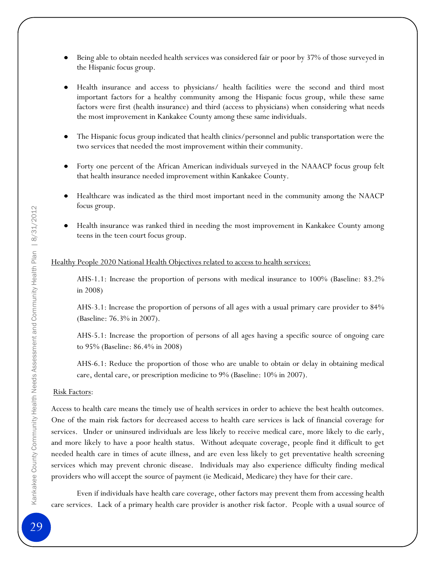- Being able to obtain needed health services was considered fair or poor by 37% of those surveyed in the Hispanic focus group.
- Health insurance and access to physicians/ health facilities were the second and third most important factors for a healthy community among the Hispanic focus group, while these same factors were first (health insurance) and third (access to physicians) when considering what needs the most improvement in Kankakee County among these same individuals.
- The Hispanic focus group indicated that health clinics/personnel and public transportation were the two services that needed the most improvement within their community.
- Forty one percent of the African American individuals surveyed in the NAAACP focus group felt that health insurance needed improvement within Kankakee County.
- Healthcare was indicated as the third most important need in the community among the NAACP focus group.
- $\bullet$ Health insurance was ranked third in needing the most improvement in Kankakee County among teens in the teen court focus group.

### Healthy People 2020 National Health Objectives related to access to health services:

AHS-1.1: Increase the proportion of persons with medical insurance to 100% (Baseline: 83.2% in 2008)

AHS-3.1: Increase the proportion of persons of all ages with a usual primary care provider to 84% (Baseline: 76.3% in 2007).

AHS-5.1: Increase the proportion of persons of all ages having a specific source of ongoing care to 95% (Baseline: 86.4% in 2008)

AHS-6.1: Reduce the proportion of those who are unable to obtain or delay in obtaining medical care, dental care, or prescription medicine to 9% (Baseline: 10% in 2007).

### Risk Factors:

Access to health care means the timely use of health services in order to achieve the best health outcomes. One of the main risk factors for decreased access to health care services is lack of financial coverage for services. Under or uninsured individuals are less likely to receive medical care, more likely to die early, and more likely to have a poor health status. Without adequate coverage, people find it difficult to get needed health care in times of acute illness, and are even less likely to get preventative health screening services which may prevent chronic disease. Individuals may also experience difficulty finding medical providers who will accept the source of payment (ie Medicaid, Medicare) they have for their care.

Even if individuals have health care coverage, other factors may prevent them from accessing health care services. Lack of a primary health care provider is another risk factor. People with a usual source of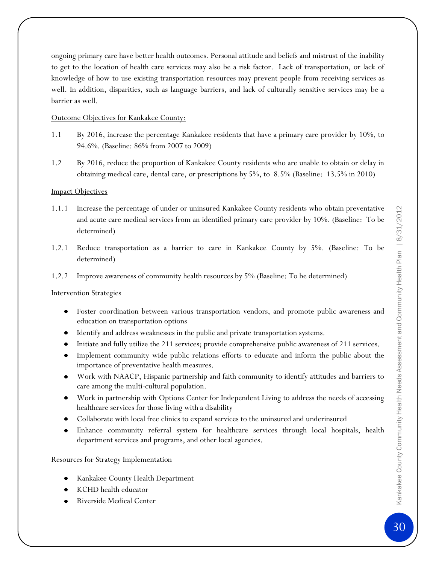ongoing primary care have better health outcomes. Personal attitude and beliefs and mistrust of the inability to get to the location of health care services may also be a risk factor. Lack of transportation, or lack of knowledge of how to use existing transportation resources may prevent people from receiving services as well. In addition, disparities, such as language barriers, and lack of culturally sensitive services may be a barrier as well.

### Outcome Objectives for Kankakee County:

- 1.1 By 2016, increase the percentage Kankakee residents that have a primary care provider by 10%, to 94.6%. (Baseline: 86% from 2007 to 2009)
- 1.2 By 2016, reduce the proportion of Kankakee County residents who are unable to obtain or delay in obtaining medical care, dental care, or prescriptions by 5%, to 8.5% (Baseline: 13.5% in 2010)

### **Impact Objectives**

- 1.1.1 Increase the percentage of under or uninsured Kankakee County residents who obtain preventative and acute care medical services from an identified primary care provider by 10%. (Baseline: To be determined)
- 1.2.1 Reduce transportation as a barrier to care in Kankakee County by 5%. (Baseline: To be determined)
- 1.2.2 Improve awareness of community health resources by 5% (Baseline: To be determined)

### Intervention Strategies

- Foster coordination between various transportation vendors, and promote public awareness and education on transportation options
- Identify and address weaknesses in the public and private transportation systems.
- Initiate and fully utilize the 211 services; provide comprehensive public awareness of 211 services.
- Implement community wide public relations efforts to educate and inform the public about the importance of preventative health measures.
- Work with NAACP, Hispanic partnership and faith community to identify attitudes and barriers to care among the multi-cultural population.
- Work in partnership with Options Center for Independent Living to address the needs of accessing healthcare services for those living with a disability
- Collaborate with local free clinics to expand services to the uninsured and underinsured
- Enhance community referral system for healthcare services through local hospitals, health department services and programs, and other local agencies.

#### Resources for Strategy Implementation

- Kankakee County Health Department
- KCHD health educator
- Riverside Medical Center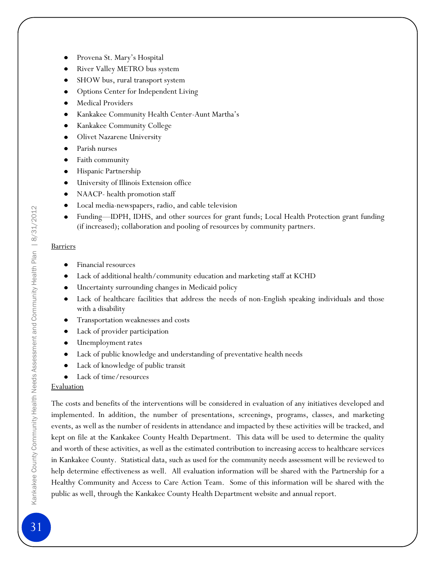- River Valley METRO bus system
- SHOW bus, rural transport system
- Options Center for Independent Living
- Medical Providers
- Kankakee Community Health Center-Aunt Martha's
- Kankakee Community College
- Olivet Nazarene University
- Parish nurses
- Faith community
- Hispanic Partnership
- University of Illinois Extension office  $\bullet$
- NAACP- health promotion staff
- Local media-newspapers, radio, and cable television
- Funding—IDPH, IDHS, and other sources for grant funds; Local Health Protection grant funding (if increased); collaboration and pooling of resources by community partners.

### Barriers

- Financial resources
- Lack of additional health/community education and marketing staff at KCHD
- Uncertainty surrounding changes in Medicaid policy
- Lack of healthcare facilities that address the needs of non-English speaking individuals and those  $\bullet$ with a disability
- Transportation weaknesses and costs  $\bullet$
- Lack of provider participation  $\bullet$
- Unemployment rates  $\bullet$
- Lack of public knowledge and understanding of preventative health needs
- Lack of knowledge of public transit
- Lack of time/resources

### Evaluation

The costs and benefits of the interventions will be considered in evaluation of any initiatives developed and implemented. In addition, the number of presentations, screenings, programs, classes, and marketing events, as well as the number of residents in attendance and impacted by these activities will be tracked, and kept on file at the Kankakee County Health Department. This data will be used to determine the quality and worth of these activities, as well as the estimated contribution to increasing access to healthcare services in Kankakee County. Statistical data, such as used for the community needs assessment will be reviewed to help determine effectiveness as well. All evaluation information will be shared with the Partnership for a Healthy Community and Access to Care Action Team. Some of this information will be shared with the public as well, through the Kankakee County Health Department website and annual report.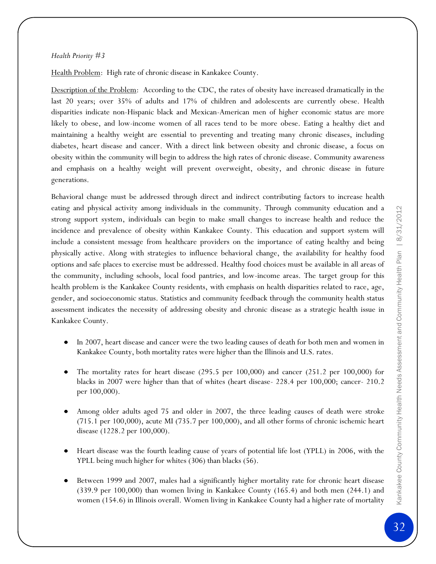### *Health Priority #3*

Health Problem: High rate of chronic disease in Kankakee County.

Description of the Problem: According to the CDC, the rates of obesity have increased dramatically in the last 20 years; over 35% of adults and 17% of children and adolescents are currently obese. Health disparities indicate non-Hispanic black and Mexican-American men of higher economic status are more likely to obese, and low-income women of all races tend to be more obese. Eating a healthy diet and maintaining a healthy weight are essential to preventing and treating many chronic diseases, including diabetes, heart disease and cancer. With a direct link between obesity and chronic disease, a focus on obesity within the community will begin to address the high rates of chronic disease. Community awareness and emphasis on a healthy weight will prevent overweight, obesity, and chronic disease in future generations.

Behavioral change must be addressed through direct and indirect contributing factors to increase health eating and physical activity among individuals in the community. Through community education and a strong support system, individuals can begin to make small changes to increase health and reduce the incidence and prevalence of obesity within Kankakee County. This education and support system will include a consistent message from healthcare providers on the importance of eating healthy and being physically active. Along with strategies to influence behavioral change, the availability for healthy food options and safe places to exercise must be addressed. Healthy food choices must be available in all areas of the community, including schools, local food pantries, and low-income areas. The target group for this health problem is the Kankakee County residents, with emphasis on health disparities related to race, age, gender, and socioeconomic status. Statistics and community feedback through the community health status assessment indicates the necessity of addressing obesity and chronic disease as a strategic health issue in Kankakee County.

- In 2007, heart disease and cancer were the two leading causes of death for both men and women in Kankakee County, both mortality rates were higher than the Illinois and U.S. rates.
- The mortality rates for heart disease (295.5 per 100,000) and cancer (251.2 per 100,000) for blacks in 2007 were higher than that of whites (heart disease- 228.4 per 100,000; cancer- 210.2 per 100,000).
- Among older adults aged 75 and older in 2007, the three leading causes of death were stroke (715.1 per 100,000), acute MI (735.7 per 100,000), and all other forms of chronic ischemic heart disease (1228.2 per 100,000).
- Heart disease was the fourth leading cause of years of potential life lost (YPLL) in 2006, with the YPLL being much higher for whites (306) than blacks (56).
- Between 1999 and 2007, males had a significantly higher mortality rate for chronic heart disease (339.9 per 100,000) than women living in Kankakee County (165.4) and both men (244.1) and women (154.6) in Illinois overall. Women living in Kankakee County had a higher rate of mortality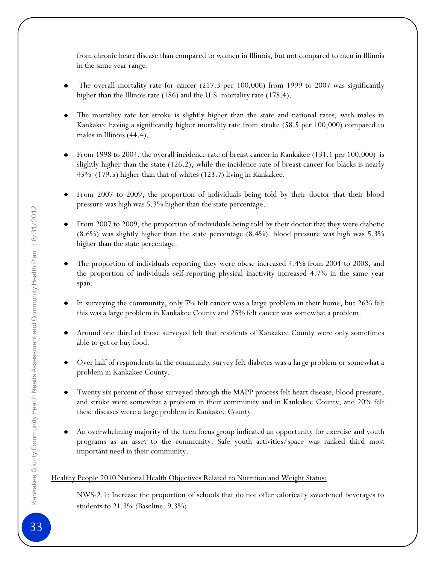from chronic heart disease than compared to women in Illinois, but not compared to men in Illinois in the same year range.

- The overall mortality rate for cancer (217.3 per 100,000) from 1999 to 2007 was significantly higher than the Illinois rate (186) and the U.S. mortality rate (178.4).
- The mortality rate for stroke is slightly higher than the state and national rates, with males in Kankakee having a significantly higher mortality rate from stroke (58.5 per 100,000) compared to males in Illinois  $(44.4)$ .
- From 1998 to 2004, the overall incidence rate of breast cancer in Kankakee (131.1 per 100,000) is slightly higher than the state (126.2), while the incidence rate of breast cancer for blacks is nearly 45% (179.5) higher than that of whites (123.7) living in Kankakee.
- From 2007 to 2009, the proportion of individuals being told by their doctor that their blood pressure was high was 5.3% higher than the state percentage.
- From 2007 to 2009, the proportion of individuals being told by their doctor that they were diabetic (8.6%) was slightly higher than the state percentage (8.4%). blood pressure was high was 5.3% higher than the state percentage.
- The proportion of individuals reporting they were obese increased 4.4% from 2004 to 2008, and the proportion of individuals self-reporting physical inactivity increased 4.7% in the same year span.
- In surveying the community, only 7% felt cancer was a large problem in their home, but 26% felt this was a large problem in Kankakee County and 25% felt cancer was somewhat a problem.
- Around one third of those surveyed felt that residents of Kankakee County were only sometimes able to get or buy food.
- Over half of respondents in the community survey felt diabetes was a large problem or somewhat a problem in Kankakee County.
- Twenty six percent of those surveyed through the MAPP process felt heart disease, blood pressure,  $\bullet$ and stroke were somewhat a problem in their community and in Kankakee County, and 20% felt these diseases were a large problem in Kankakee County.
- An overwhelming majority of the teen focus group indicated an opportunity for exercise and youth programs as an asset to the community. Safe youth activities/space was ranked third most important need in their community.

### Healthy People 2010 National Health Objectives Related to Nutrition and Weight Status:

NWS-2.1: Increase the proportion of schools that do not offer calorically sweetened beverages to students to 21.3% (Baseline: 9.3%).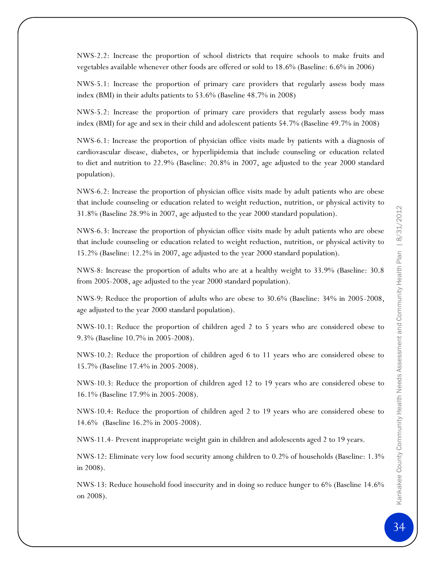NWS-2.2: Increase the proportion of school districts that require schools to make fruits and vegetables available whenever other foods are offered or sold to 18.6% (Baseline: 6.6% in 2006)

NWS-5.1: Increase the proportion of primary care providers that regularly assess body mass index (BMI) in their adults patients to 53.6% (Baseline 48.7% in 2008)

NWS-5.2: Increase the proportion of primary care providers that regularly assess body mass index (BMI) for age and sex in their child and adolescent patients 54.7% (Baseline 49.7% in 2008)

NWS-6.1: Increase the proportion of physician office visits made by patients with a diagnosis of cardiovascular disease, diabetes, or hyperlipidemia that include counseling or education related to diet and nutrition to 22.9% (Baseline: 20.8% in 2007, age adjusted to the year 2000 standard population).

NWS-6.2: Increase the proportion of physician office visits made by adult patients who are obese that include counseling or education related to weight reduction, nutrition, or physical activity to 31.8% (Baseline 28.9% in 2007, age adjusted to the year 2000 standard population).

NWS-6.3: Increase the proportion of physician office visits made by adult patients who are obese that include counseling or education related to weight reduction, nutrition, or physical activity to 15.2% (Baseline: 12.2% in 2007, age adjusted to the year 2000 standard population).

NWS-8: Increase the proportion of adults who are at a healthy weight to 33.9% (Baseline: 30.8 from 2005-2008, age adjusted to the year 2000 standard population).

NWS-9: Reduce the proportion of adults who are obese to 30.6% (Baseline: 34% in 2005-2008, age adjusted to the year 2000 standard population).

NWS-10.1: Reduce the proportion of children aged 2 to 5 years who are considered obese to 9.3% (Baseline 10.7% in 2005-2008).

NWS-10.2: Reduce the proportion of children aged 6 to 11 years who are considered obese to 15.7% (Baseline 17.4% in 2005-2008).

NWS-10.3: Reduce the proportion of children aged 12 to 19 years who are considered obese to 16.1% (Baseline 17.9% in 2005-2008).

NWS-10.4: Reduce the proportion of children aged 2 to 19 years who are considered obese to 14.6% (Baseline 16.2% in 2005-2008).

NWS-11.4- Prevent inappropriate weight gain in children and adolescents aged 2 to 19 years.

NWS-12: Eliminate very low food security among children to 0.2% of households (Baseline: 1.3% in 2008).

NWS-13: Reduce household food insecurity and in doing so reduce hunger to 6% (Baseline 14.6% on 2008).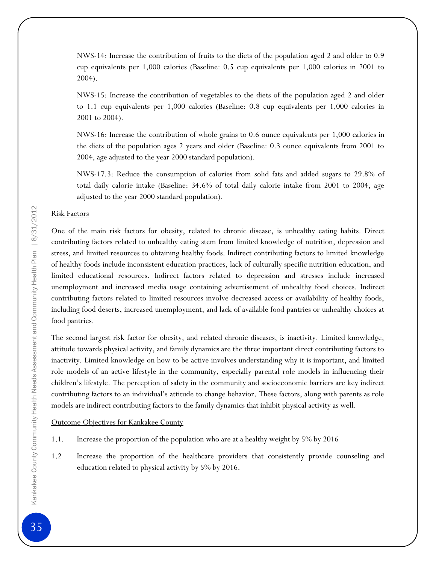NWS-14: Increase the contribution of fruits to the diets of the population aged 2 and older to 0.9 cup equivalents per 1,000 calories (Baseline: 0.5 cup equivalents per 1,000 calories in 2001 to 2004).

NWS-15: Increase the contribution of vegetables to the diets of the population aged 2 and older to 1.1 cup equivalents per 1,000 calories (Baseline: 0.8 cup equivalents per 1,000 calories in 2001 to 2004).

NWS-16: Increase the contribution of whole grains to 0.6 ounce equivalents per 1,000 calories in the diets of the population ages 2 years and older (Baseline: 0.3 ounce equivalents from 2001 to 2004, age adjusted to the year 2000 standard population).

NWS-17.3: Reduce the consumption of calories from solid fats and added sugars to 29.8% of total daily calorie intake (Baseline: 34.6% of total daily calorie intake from 2001 to 2004, age adjusted to the year 2000 standard population).

### Risk Factors

One of the main risk factors for obesity, related to chronic disease, is unhealthy eating habits. Direct contributing factors related to unhealthy eating stem from limited knowledge of nutrition, depression and stress, and limited resources to obtaining healthy foods. Indirect contributing factors to limited knowledge of healthy foods include inconsistent education practices, lack of culturally specific nutrition education, and limited educational resources. Indirect factors related to depression and stresses include increased unemployment and increased media usage containing advertisement of unhealthy food choices. Indirect contributing factors related to limited resources involve decreased access or availability of healthy foods, including food deserts, increased unemployment, and lack of available food pantries or unhealthy choices at food pantries.

The second largest risk factor for obesity, and related chronic diseases, is inactivity. Limited knowledge, attitude towards physical activity, and family dynamics are the three important direct contributing factors to inactivity. Limited knowledge on how to be active involves understanding why it is important, and limited role models of an active lifestyle in the community, especially parental role models in influencing their children's lifestyle. The perception of safety in the community and socioeconomic barriers are key indirect contributing factors to an individual's attitude to change behavior. These factors, along with parents as role models are indirect contributing factors to the family dynamics that inhibit physical activity as well.

### Outcome Objectives for Kankakee County

- 1.1. Increase the proportion of the population who are at a healthy weight by 5% by 2016
- 1.2 Increase the proportion of the healthcare providers that consistently provide counseling and education related to physical activity by 5% by 2016.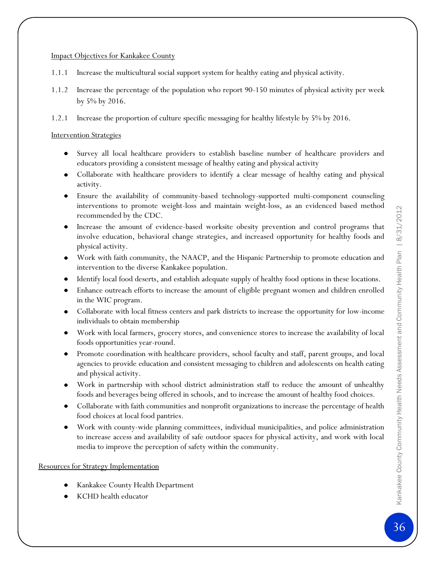### Impact Objectives for Kankakee County

- 1.1.1 Increase the multicultural social support system for healthy eating and physical activity.
- 1.1.2 Increase the percentage of the population who report 90-150 minutes of physical activity per week by 5% by 2016.
- 1.2.1 Increase the proportion of culture specific messaging for healthy lifestyle by 5% by 2016.

### Intervention Strategies

- Survey all local healthcare providers to establish baseline number of healthcare providers and educators providing a consistent message of healthy eating and physical activity
- Collaborate with healthcare providers to identify a clear message of healthy eating and physical activity.
- Ensure the availability of community-based technology-supported multi-component counseling interventions to promote weight-loss and maintain weight-loss, as an evidenced based method recommended by the CDC.
- Increase the amount of evidence-based worksite obesity prevention and control programs that involve education, behavioral change strategies, and increased opportunity for healthy foods and physical activity.
- Work with faith community, the NAACP, and the Hispanic Partnership to promote education and intervention to the diverse Kankakee population.
- Identify local food deserts, and establish adequate supply of healthy food options in these locations.
- Enhance outreach efforts to increase the amount of eligible pregnant women and children enrolled in the WIC program.
- Collaborate with local fitness centers and park districts to increase the opportunity for low-income individuals to obtain membership
- Work with local farmers, grocery stores, and convenience stores to increase the availability of local foods opportunities year-round.
- Promote coordination with healthcare providers, school faculty and staff, parent groups, and local  $\bullet$ agencies to provide education and consistent messaging to children and adolescents on health eating and physical activity.
- Work in partnership with school district administration staff to reduce the amount of unhealthy foods and beverages being offered in schools, and to increase the amount of healthy food choices.
- Collaborate with faith communities and nonprofit organizations to increase the percentage of health food choices at local food pantries.
- Work with county-wide planning committees, individual municipalities, and police administration to increase access and availability of safe outdoor spaces for physical activity, and work with local media to improve the perception of safety within the community.

### Resources for Strategy Implementation

- Kankakee County Health Department
- KCHD health educator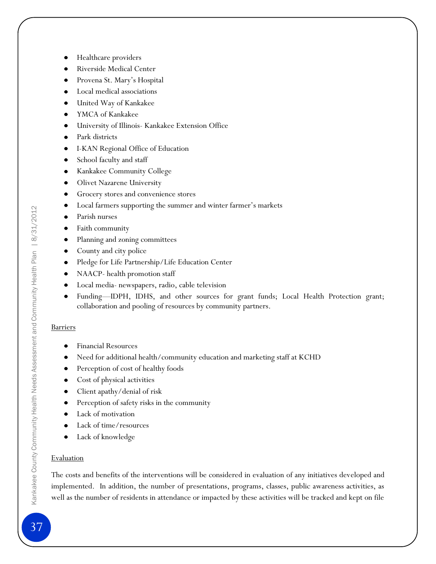- Riverside Medical Center
- Provena St. Mary's Hospital
- Local medical associations
- United Way of Kankakee  $\bullet$
- YMCA of Kankakee
- University of Illinois- Kankakee Extension Office
- Park districts
- I-KAN Regional Office of Education
- School faculty and staff
- Kankakee Community College  $\bullet$
- Olivet Nazarene University  $\bullet$
- Grocery stores and convenience stores  $\bullet$
- Local farmers supporting the summer and winter farmer's markets  $\bullet$
- Parish nurses  $\bullet$
- $\bullet$ Faith community
- Planning and zoning committees  $\bullet$
- County and city police  $\bullet$
- Pledge for Life Partnership/Life Education Center  $\bullet$
- NAACP- health promotion staff
- Local media- newspapers, radio, cable television
- Funding—IDPH, IDHS, and other sources for grant funds; Local Health Protection grant; collaboration and pooling of resources by community partners.

### **Barriers**

- Financial Resources
- Need for additional health/community education and marketing staff at KCHD
- Perception of cost of healthy foods
- Cost of physical activities  $\bullet$
- Client apathy/denial of risk  $\bullet$
- Perception of safety risks in the community  $\bullet$
- Lack of motivation
- Lack of time/resources
- Lack of knowledge

### **Evaluation**

The costs and benefits of the interventions will be considered in evaluation of any initiatives developed and implemented. In addition, the number of presentations, programs, classes, public awareness activities, as well as the number of residents in attendance or impacted by these activities will be tracked and kept on file